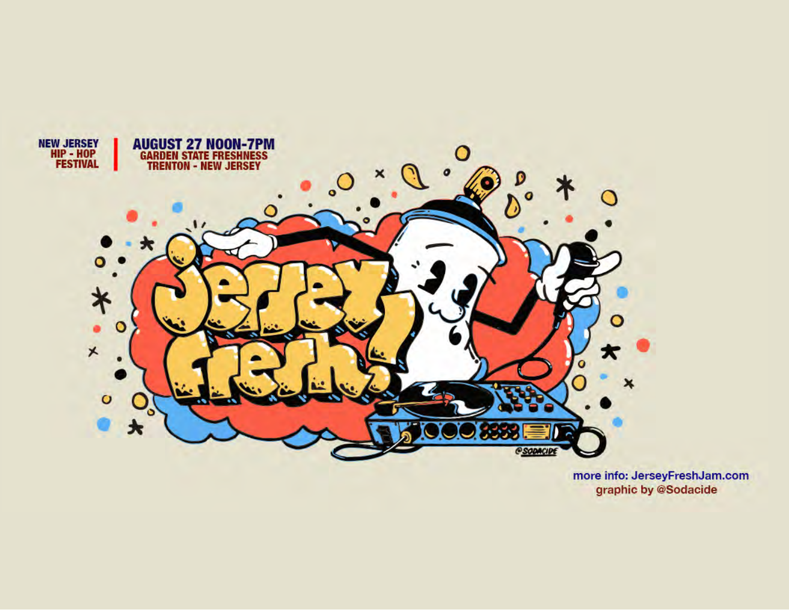

more info: JerseyFreshJam.com graphic by @Sodacide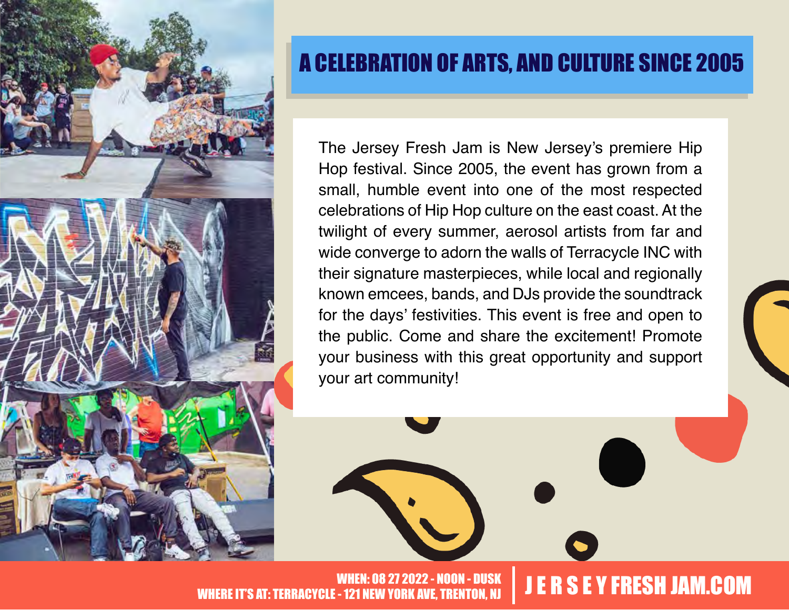

# A CELEBRATION OF ARTS, AND CULTURE SINCE 2005

The Jersey Fresh Jam is New Jersey's premiere Hip Hop festival. Since 2005, the event has grown from a small, humble event into one of the most respected celebrations of Hip Hop culture on the east coast. At the twilight of every summer, aerosol artists from far and wide converge to adorn the walls of Terracycle INC with their signature masterpieces, while local and regionally known emcees, bands, and DJs provide the soundtrack for the days' festivities. This event is free and open to the public. Come and share the excitement! Promote your business with this great opportunity and support your art community!

2022 - NOON - DUSK WHEN: 08 27 2022 - NOON - DUSK JUNEARD SE Y FRESH JAM.COM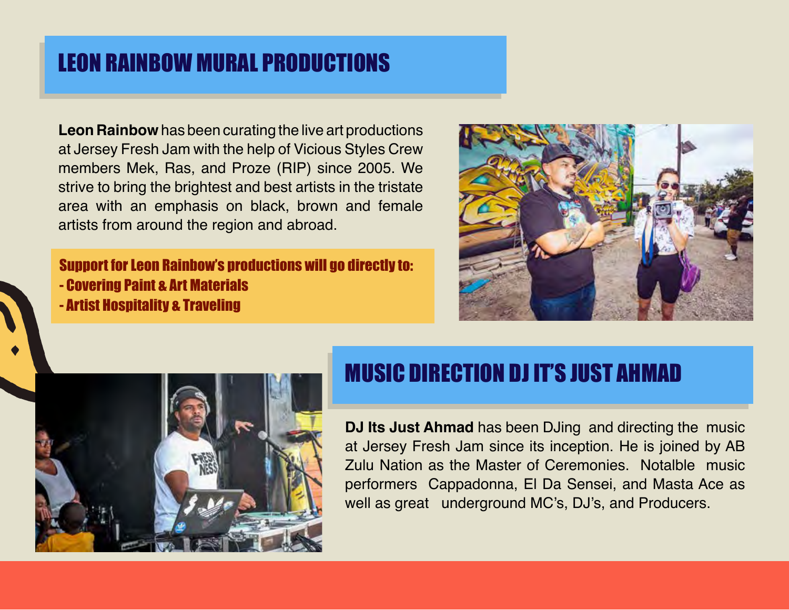# LEON RAINBOW MURAL PRODUCTIONS

**Leon Rainbow** has been curating the live art productions at Jersey Fresh Jam with the help of Vicious Styles Crew members Mek, Ras, and Proze (RIP) since 2005. We strive to bring the brightest and best artists in the tristate area with an emphasis on black, brown and female artists from around the region and abroad.

Support for Leon Rainbow's productions will go directly to: - Covering Paint & Art Materials - Artist Hospitality & Traveling





#### MUSIC DIRECTION DJ IT'S JUST AHMAD

**DJ Its Just Ahmad** has been DJing and directing the music at Jersey Fresh Jam since its inception. He is joined by AB Zulu Nation as the Master of Ceremonies. Notalble music performers Cappadonna, El Da Sensei, and Masta Ace as well as great underground MC's, DJ's, and Producers.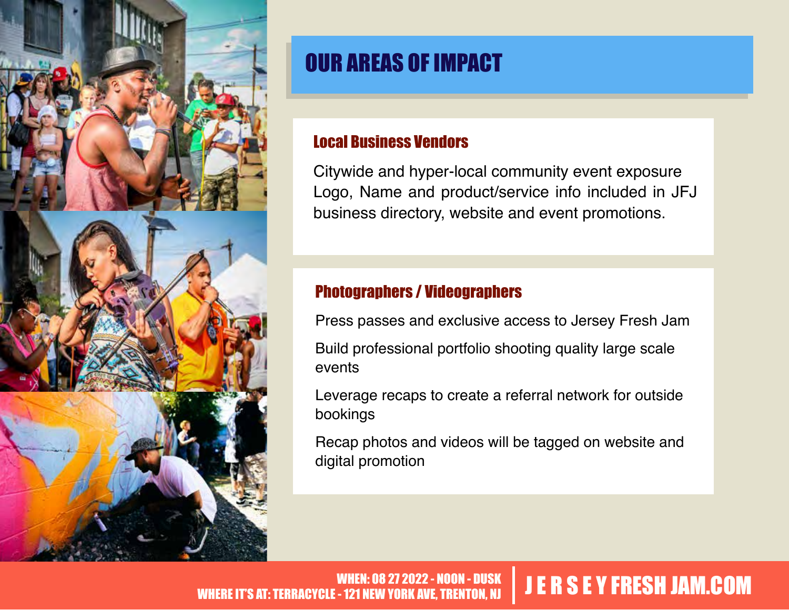

# OUR AREAS OF IMPACT

#### Local Business Vendors

Citywide and hyper-local community event exposure Logo, Name and product/service info included in JFJ business directory, website and event promotions.

#### Photographers / Videographers

Press passes and exclusive access to Jersey Fresh Jam Build professional portfolio shooting quality large scale events

Leverage recaps to create a referral network for outside bookings

Recap photos and videos will be tagged on website and digital promotion

#### 27 2022 - NOON - DUSK WHEN: 08 27 2022 - NOON - DUSK JUNEARD SE Y FRESH JAM.COM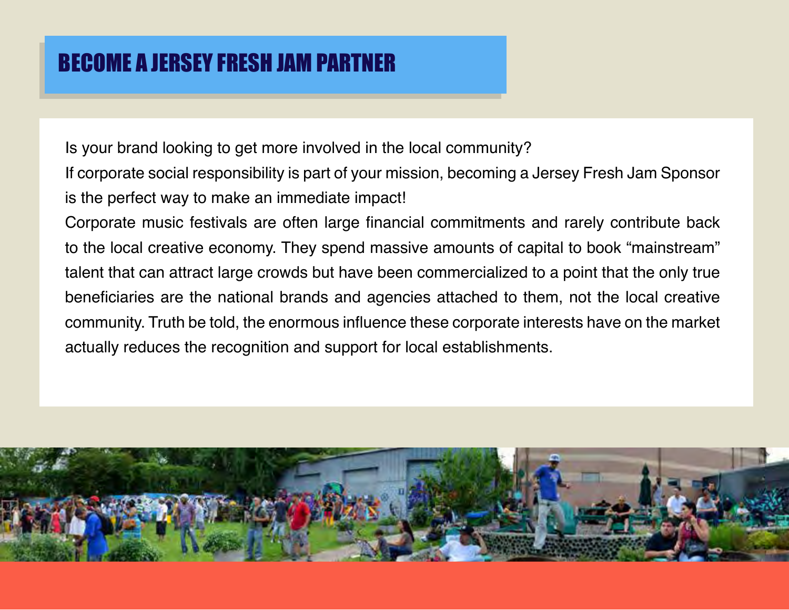### BECOME A JERSEY FRESH JAM PARTNER

Is your brand looking to get more involved in the local community?

If corporate social responsibility is part of your mission, becoming a Jersey Fresh Jam Sponsor is the perfect way to make an immediate impact!

Corporate music festivals are often large financial commitments and rarely contribute back to the local creative economy. They spend massive amounts of capital to book "mainstream" talent that can attract large crowds but have been commercialized to a point that the only true beneficiaries are the national brands and agencies attached to them, not the local creative community. Truth be told, the enormous influence these corporate interests have on the market actually reduces the recognition and support for local establishments.

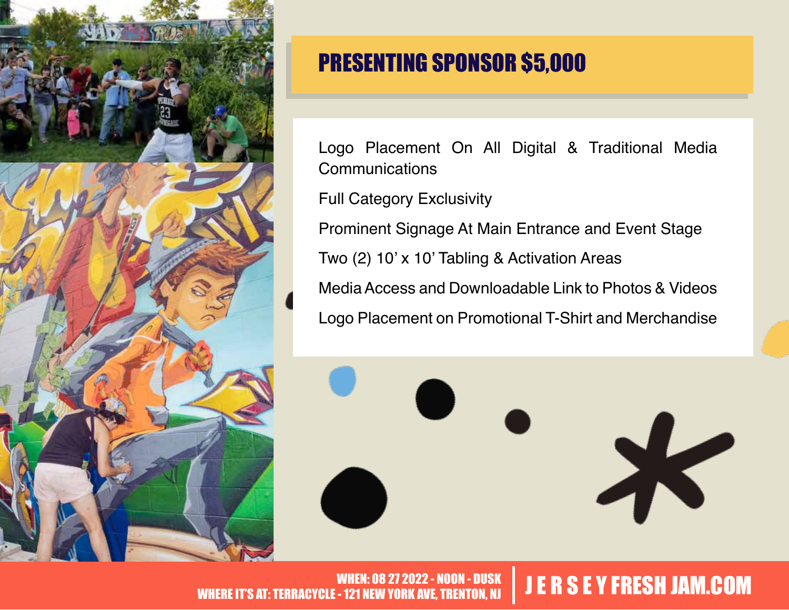

# PRESENTING SPONSOR \$5,000

Logo Placement On All Digital & Traditional Media **Communications** 

Full Category Exclusivity

Prominent Signage At Main Entrance and Event Stage

Two (2) 10' x 10' Tabling & Activation Areas

Media Access and Downloadable Link to Photos & Videos Logo Placement on Promotional T-Shirt and Merchandise

 $\boldsymbol{\times}$ 

WHEN: 08 27 2022 - NOON - DUSK WHEN: 08 27 2022 - NOON - DUSK JUNEARD SE Y FRESH JAM.COM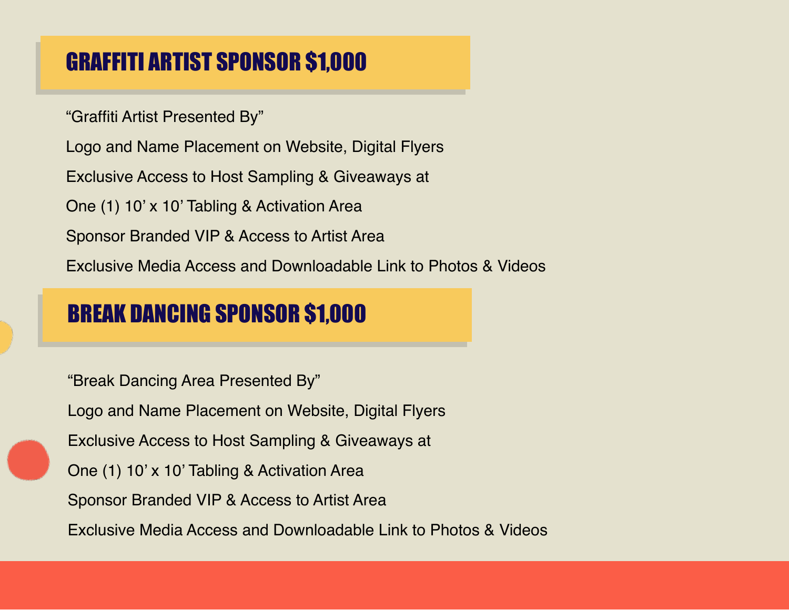# GRAFFITI ARTIST SPONSOR \$1,000

"Graffiti Artist Presented By"

Logo and Name Placement on Website, Digital Flyers

Exclusive Access to Host Sampling & Giveaways at

One (1) 10' x 10' Tabling & Activation Area

Sponsor Branded VIP & Access to Artist Area

Exclusive Media Access and Downloadable Link to Photos & Videos

#### BREAK DANCING SPONSOR \$1,000

"Break Dancing Area Presented By" Logo and Name Placement on Website, Digital Flyers Exclusive Access to Host Sampling & Giveaways at One (1) 10' x 10' Tabling & Activation Area Sponsor Branded VIP & Access to Artist Area Exclusive Media Access and Downloadable Link to Photos & Videos